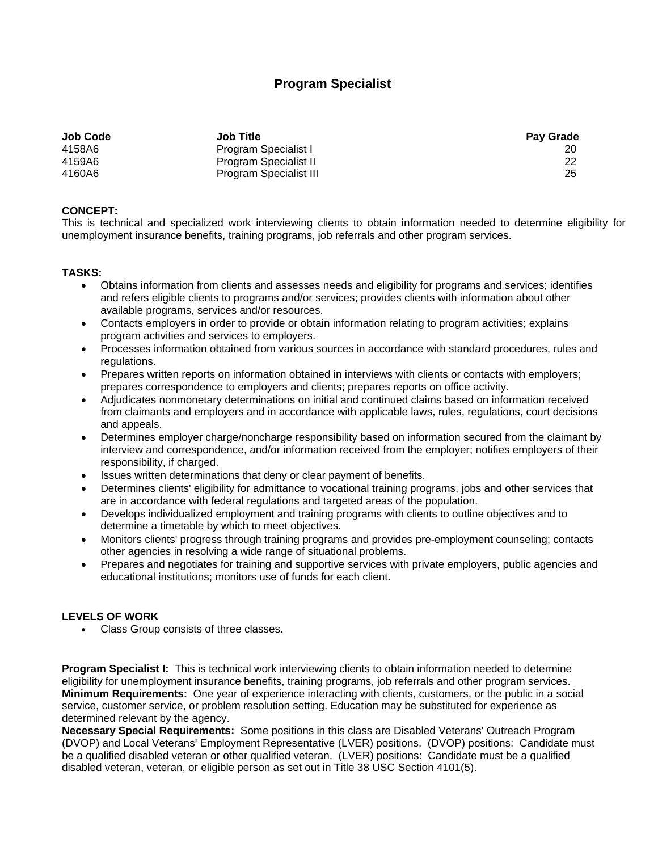## **Program Specialist**

| <b>Job Code</b> | <b>Job Title</b>              | <b>Pay Grade</b> |
|-----------------|-------------------------------|------------------|
| 4158A6          | Program Specialist I          |                  |
| 4159A6          | Program Specialist II         | 22               |
| 4160A6          | <b>Program Specialist III</b> | 25               |

## **CONCEPT:**

This is technical and specialized work interviewing clients to obtain information needed to determine eligibility for unemployment insurance benefits, training programs, job referrals and other program services.

## **TASKS:**

- Obtains information from clients and assesses needs and eligibility for programs and services; identifies and refers eligible clients to programs and/or services; provides clients with information about other available programs, services and/or resources.
- Contacts employers in order to provide or obtain information relating to program activities; explains program activities and services to employers.
- Processes information obtained from various sources in accordance with standard procedures, rules and regulations.
- Prepares written reports on information obtained in interviews with clients or contacts with employers; prepares correspondence to employers and clients; prepares reports on office activity.
- Adjudicates nonmonetary determinations on initial and continued claims based on information received from claimants and employers and in accordance with applicable laws, rules, regulations, court decisions and appeals.
- Determines employer charge/noncharge responsibility based on information secured from the claimant by interview and correspondence, and/or information received from the employer; notifies employers of their responsibility, if charged.
- Issues written determinations that deny or clear payment of benefits.
- Determines clients' eligibility for admittance to vocational training programs, jobs and other services that are in accordance with federal regulations and targeted areas of the population.
- Develops individualized employment and training programs with clients to outline objectives and to determine a timetable by which to meet objectives.
- Monitors clients' progress through training programs and provides pre-employment counseling; contacts other agencies in resolving a wide range of situational problems.
- Prepares and negotiates for training and supportive services with private employers, public agencies and educational institutions; monitors use of funds for each client.

## **LEVELS OF WORK**

Class Group consists of three classes.

**Program Specialist I:** This is technical work interviewing clients to obtain information needed to determine eligibility for unemployment insurance benefits, training programs, job referrals and other program services. **Minimum Requirements:** One year of experience interacting with clients, customers, or the public in a social service, customer service, or problem resolution setting. Education may be substituted for experience as determined relevant by the agency.

**Necessary Special Requirements:** Some positions in this class are Disabled Veterans' Outreach Program (DVOP) and Local Veterans' Employment Representative (LVER) positions. (DVOP) positions: Candidate must be a qualified disabled veteran or other qualified veteran. (LVER) positions: Candidate must be a qualified disabled veteran, veteran, or eligible person as set out in Title 38 USC Section 4101(5).